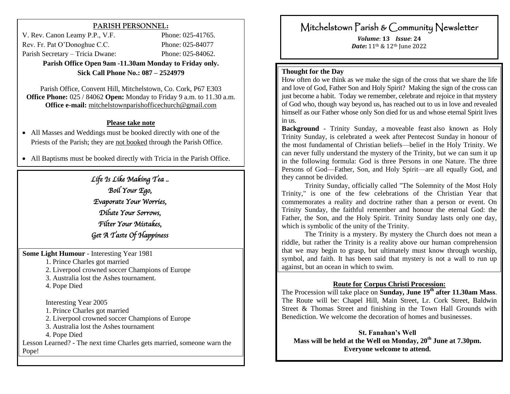### **PARISH PERSONNEL:**

V. Rev. Canon Leamy P.P., V.F. Phone: 025-41765. Rev. Fr. Pat O'Donoghue C.C. Phone: 025-84077 Parish Secretary – Tricia Dwane: Phone: 025-84062. **Parish Office Open 9am -11.30am Monday to Friday only.**

**Sick Call Phone No.: 087 – 2524979**

Parish Office, Convent Hill, Mitchelstown, Co. Cork, P67 E303 **Office Phone:** 025 / 84062 **Open:** Monday to Friday 9 a.m. to 11.30 a.m. **Office e-mail:** [mitchelstownparishofficechurch@gmail.com](mailto:mitchelstownparishofficechurch@gmail.com)

#### **Please take note**

 All Masses and Weddings must be booked directly with one of the Priests of the Parish; they are not booked through the Parish Office.

All Baptisms must be booked directly with Tricia in the Parish Office.

*Life Is Like Making Tea .. Boil Your Ego, Evaporate Your Worries, Dilute Your Sorrows, Filter Your Mistakes, Get A Taste Of Happiness*

**Some Light Humour** - Interesting Year 1981

1. Prince Charles got married

2. Liverpool crowned soccer Champions of Europe

3. Australia lost the Ashes tournament.

4. Pope Died

Interesting Year 2005

1. Prince Charles got married

2. Liverpool crowned soccer Champions of Europe

3. Australia lost the Ashes tournament

4. Pope Died

Lesson Learned? - The next time Charles gets married, someone warn the Pope!

# Mitchelstown Parish & Community Newsletter

*Volume*: **13** *Issue*: **24**  *Date***:** 11th & 12th June 2022

#### **Thought for the Day**

How often do we think as we make the sign of the cross that we share the life and love of God, Father Son and Holy Spirit? Making the sign of the cross can just become a habit. Today we remember, celebrate and rejoice in that mystery of God who, though way beyond us, has reached out to us in love and revealed himself as our Father whose only Son died for us and whose eternal Spirit lives in us.

**Background** - Trinity Sunday, a moveable feast also known as Holy Trinity Sunday, is celebrated a week after Pentecost Sunday in honour of the most fundamental of Christian beliefs—belief in the Holy Trinity. We can never fully understand the mystery of the Trinity, but we can sum it up in the following formula: God is three Persons in one Nature. The three Persons of God—Father, Son, and Holy Spirit—are all equally God, and they cannot be divided.

Trinity Sunday, officially called "The Solemnity of the Most Holy Trinity," is one of the few celebrations of the Christian Year that commemorates a reality and doctrine rather than a person or event. On Trinity Sunday, the faithful remember and honour the eternal God: the Father, the Son, and the Holy Spirit. Trinity Sunday lasts only one day, which is symbolic of the unity of the Trinity.

The Trinity is a mystery. By mystery the Church does not mean a riddle, but rather the Trinity is a reality above our human comprehension that we may begin to grasp, but ultimately must know through worship, symbol, and faith. It has been said that mystery is not a wall to run up against, but an ocean in which to swim.

#### **Route for Corpus Christi Procession:**

The Procession will take place on **Sunday, June 19th after 11.30am Mass**. The Route will be: Chapel Hill, Main Street, Lr. Cork Street, Baldwin Street & Thomas Street and finishing in the Town Hall Grounds with Benediction. We welcome the decoration of homes and businesses.

**St. Fanahan's Well Mass will be held at the Well on Monday, 20th June at 7.30pm. Everyone welcome to attend.**